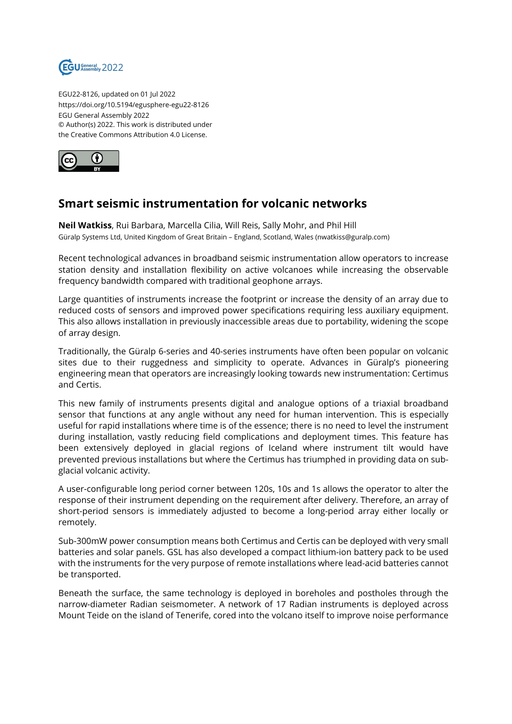

EGU22-8126, updated on 01 Jul 2022 https://doi.org/10.5194/egusphere-egu22-8126 EGU General Assembly 2022 © Author(s) 2022. This work is distributed under the Creative Commons Attribution 4.0 License.



## **Smart seismic instrumentation for volcanic networks**

**Neil Watkiss**, Rui Barbara, Marcella Cilia, Will Reis, Sally Mohr, and Phil Hill Güralp Systems Ltd, United Kingdom of Great Britain – England, Scotland, Wales (nwatkiss@guralp.com)

Recent technological advances in broadband seismic instrumentation allow operators to increase station density and installation flexibility on active volcanoes while increasing the observable frequency bandwidth compared with traditional geophone arrays.

Large quantities of instruments increase the footprint or increase the density of an array due to reduced costs of sensors and improved power specifications requiring less auxiliary equipment. This also allows installation in previously inaccessible areas due to portability, widening the scope of array design.

Traditionally, the Güralp 6-series and 40-series instruments have often been popular on volcanic sites due to their ruggedness and simplicity to operate. Advances in Güralp's pioneering engineering mean that operators are increasingly looking towards new instrumentation: Certimus and Certis.

This new family of instruments presents digital and analogue options of a triaxial broadband sensor that functions at any angle without any need for human intervention. This is especially useful for rapid installations where time is of the essence; there is no need to level the instrument during installation, vastly reducing field complications and deployment times. This feature has been extensively deployed in glacial regions of Iceland where instrument tilt would have prevented previous installations but where the Certimus has triumphed in providing data on subglacial volcanic activity.

A user-configurable long period corner between 120s, 10s and 1s allows the operator to alter the response of their instrument depending on the requirement after delivery. Therefore, an array of short-period sensors is immediately adjusted to become a long-period array either locally or remotely.

Sub-300mW power consumption means both Certimus and Certis can be deployed with very small batteries and solar panels. GSL has also developed a compact lithium-ion battery pack to be used with the instruments for the very purpose of remote installations where lead-acid batteries cannot be transported.

Beneath the surface, the same technology is deployed in boreholes and postholes through the narrow-diameter Radian seismometer. A network of 17 Radian instruments is deployed across Mount Teide on the island of Tenerife, cored into the volcano itself to improve noise performance